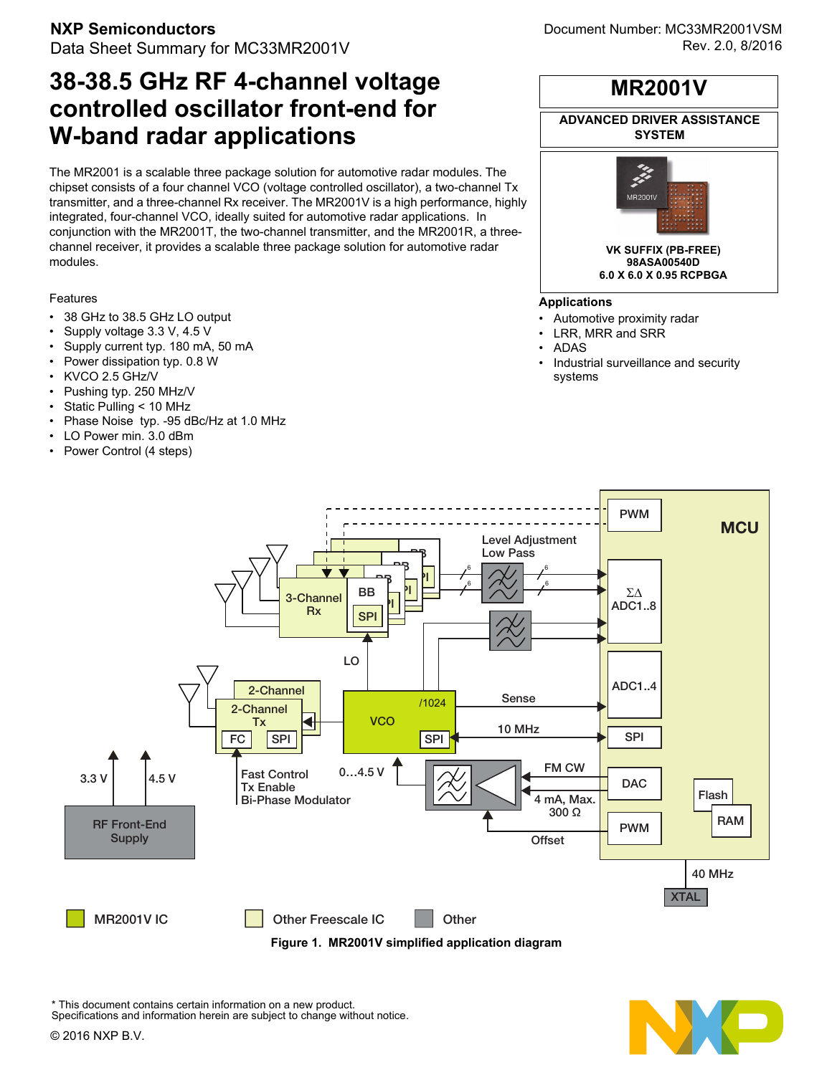# **38-38.5 GHz RF 4-channel voltage controlled oscillator front-end for W-band radar applications**

The MR2001 is a scalable three package solution for automotive radar modules. The chipset consists of a four channel VCO (voltage controlled oscillator), a two-channel Tx transmitter, and a three-channel Rx receiver. The MR2001V is a high performance, highly integrated, four-channel VCO, ideally suited for automotive radar applications. In conjunction with the MR2001T, the two-channel transmitter, and the MR2001R, a threechannel receiver, it provides a scalable three package solution for automotive radar modules.

### Features

- 38 GHz to 38.5 GHz LO output
- Supply voltage 3.3 V, 4.5 V
- Supply current typ. 180 mA, 50 mA
- Power dissipation typ. 0.8 W
- KVCO 2.5 GHz/V
- Pushing typ. 250 MHz/V
- Static Pulling < 10 MHz
- Phase Noise typ. -95 dBc/Hz at 1.0 MHz
- LO Power min. 3.0 dBm
- Power Control (4 steps)

# **ADVANCED DRIVER ASSISTANCE MR2001V**

**SYSTEM**



#### **Applications**

- Automotive proximity radar
- LRR, MRR and SRR
- ADAS
- Industrial surveillance and security systems



This document contains certain information on a new product. Specifications and information herein are subject to change without notice.

© 2016 NXP B.V.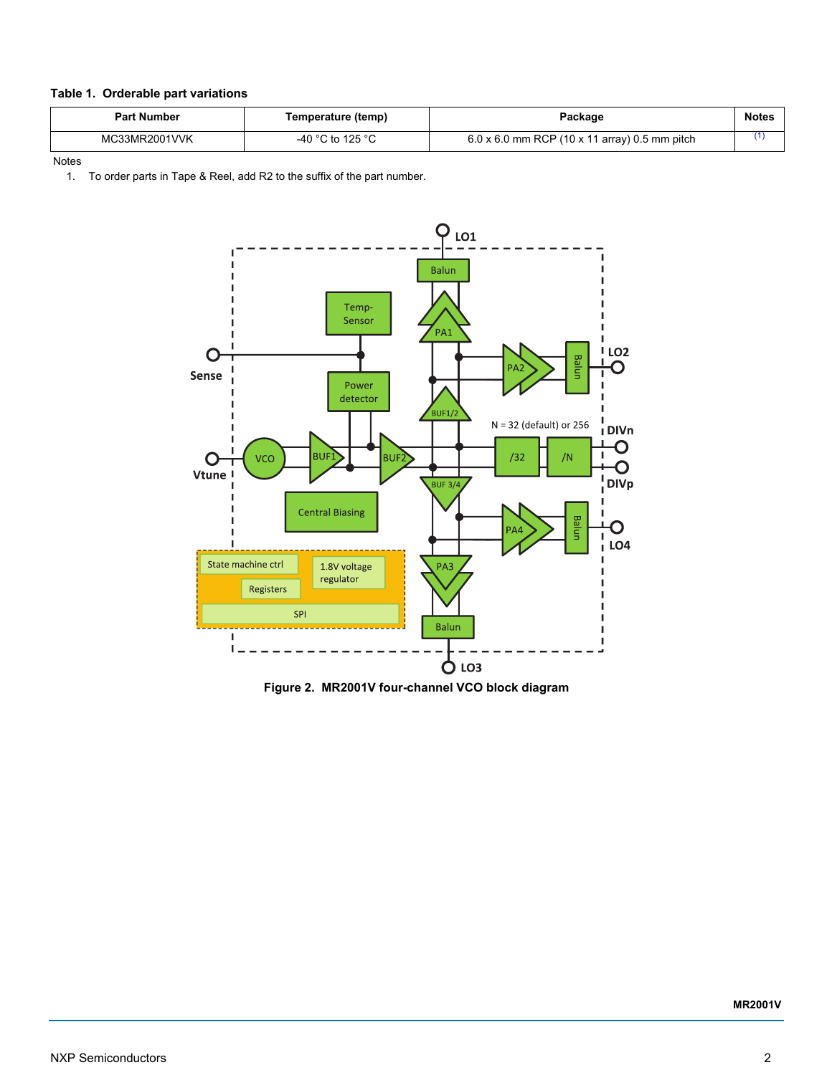### **Table 1. Orderable part variations**

| <b>Part Number</b> | Temperature (temp) | Package                                              | <b>Notes</b> |
|--------------------|--------------------|------------------------------------------------------|--------------|
| MC33MR2001VVK      | -40 °C to 125 °C   | $6.0 \times 6.0$ mm RCP (10 x 11 array) 0.5 mm pitch |              |

Notes

<span id="page-1-0"></span>1. To order parts in Tape & Reel, add R2 to the suffix of the part number.



**Figure 2. MR2001V four-channel VCO block diagram**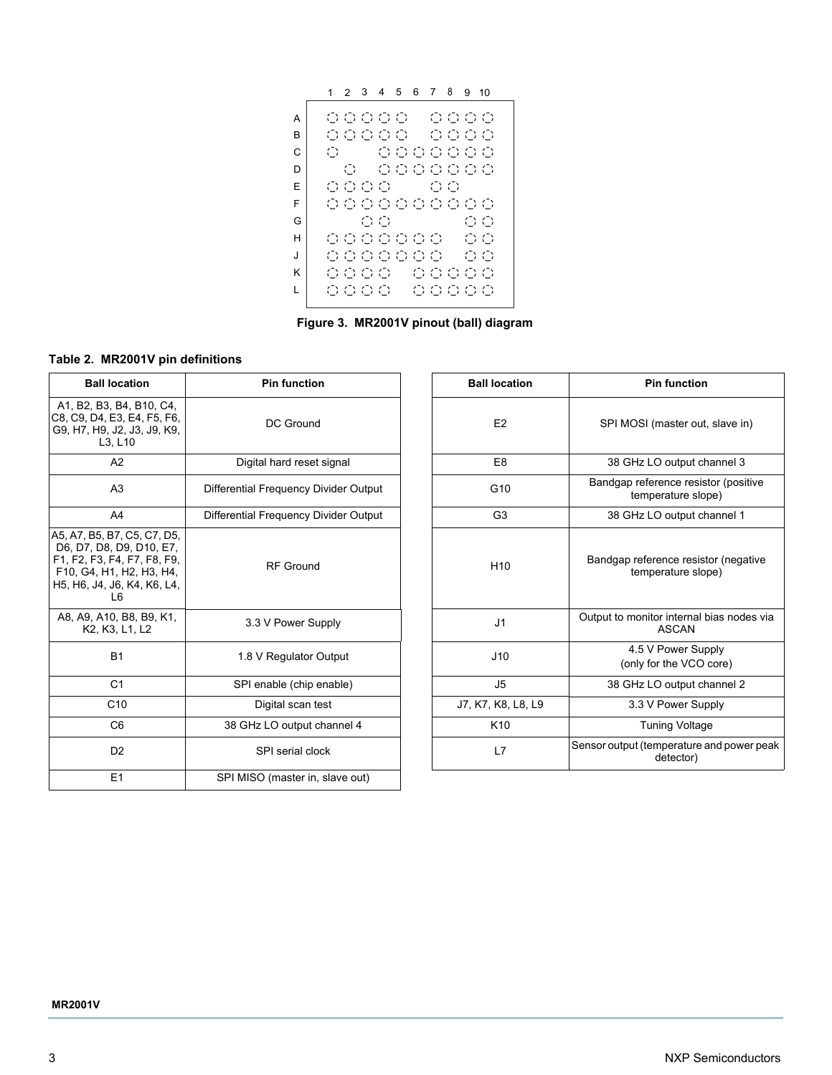1 2 3 4 5 6 7 8 9 1000000 A 0000 00000 OOOO B C  $\circ$ 0000000  $\mathsf D$  $\bigcirc$ 0000000  $\begin{array}{ccc} \circ & \circ & \circ & \circ \circ \end{array}$ E 0000000000 F OO.  $O<sub>O</sub>$ G H 0000000  $O<sub>O</sub>$ J 0000000  $O<sub>O</sub>$ 00000 0000 K L 0000 00000

**Figure 3. MR2001V pinout (ball) diagram**

### **Table 2. MR2001V pin definitions**

| <b>Ball location</b>                                                                                                                                                | <b>Pin function</b>                   | <b>Ball location</b> | <b>Pin function</b>                                        |  |
|---------------------------------------------------------------------------------------------------------------------------------------------------------------------|---------------------------------------|----------------------|------------------------------------------------------------|--|
| A1, B2, B3, B4, B10, C4,<br>C8, C9, D4, E3, E4, F5, F6,<br>G9, H7, H9, J2, J3, J9, K9,<br>L3, L10                                                                   | DC Ground                             | E <sub>2</sub>       | SPI MOSI (master out, slave in)                            |  |
| A2                                                                                                                                                                  | Digital hard reset signal             | E <sub>8</sub>       | 38 GHz LO output channel 3                                 |  |
| A <sub>3</sub>                                                                                                                                                      | Differential Frequency Divider Output | G <sub>10</sub>      | Bandgap reference resistor (positive<br>temperature slope) |  |
| A4                                                                                                                                                                  | Differential Frequency Divider Output | G <sub>3</sub>       | 38 GHz LO output channel 1                                 |  |
| A5, A7, B5, B7, C5, C7, D5,<br>D6, D7, D8, D9, D10, E7,<br>F1, F2, F3, F4, F7, F8, F9,<br>F10, G4, H1, H2, H3, H4,<br>H5, H6, J4, J6, K4, K6, L4,<br>L <sub>6</sub> | <b>RF</b> Ground                      | H <sub>10</sub>      | Bandgap reference resistor (negative<br>temperature slope) |  |
| A8, A9, A10, B8, B9, K1,<br>K <sub>2</sub> , K <sub>3</sub> , L <sub>1</sub> , L <sub>2</sub>                                                                       | 3.3 V Power Supply                    | J <sub>1</sub>       | Output to monitor internal bias nodes via<br>ASCAN         |  |
| <b>B1</b>                                                                                                                                                           | 1.8 V Regulator Output                | J10                  | 4.5 V Power Supply<br>(only for the VCO core)              |  |
| C <sub>1</sub>                                                                                                                                                      | SPI enable (chip enable)              | J <sub>5</sub>       | 38 GHz LO output channel 2                                 |  |
| C10                                                                                                                                                                 | Digital scan test                     | J7, K7, K8, L8, L9   | 3.3 V Power Supply                                         |  |
| C <sub>6</sub>                                                                                                                                                      | 38 GHz LO output channel 4            | K <sub>10</sub>      | <b>Tuning Voltage</b>                                      |  |
| D <sub>2</sub>                                                                                                                                                      | SPI serial clock                      | L7                   | Sensor output (temperature and power peak<br>detector)     |  |
| E1                                                                                                                                                                  | SPI MISO (master in, slave out)       |                      |                                                            |  |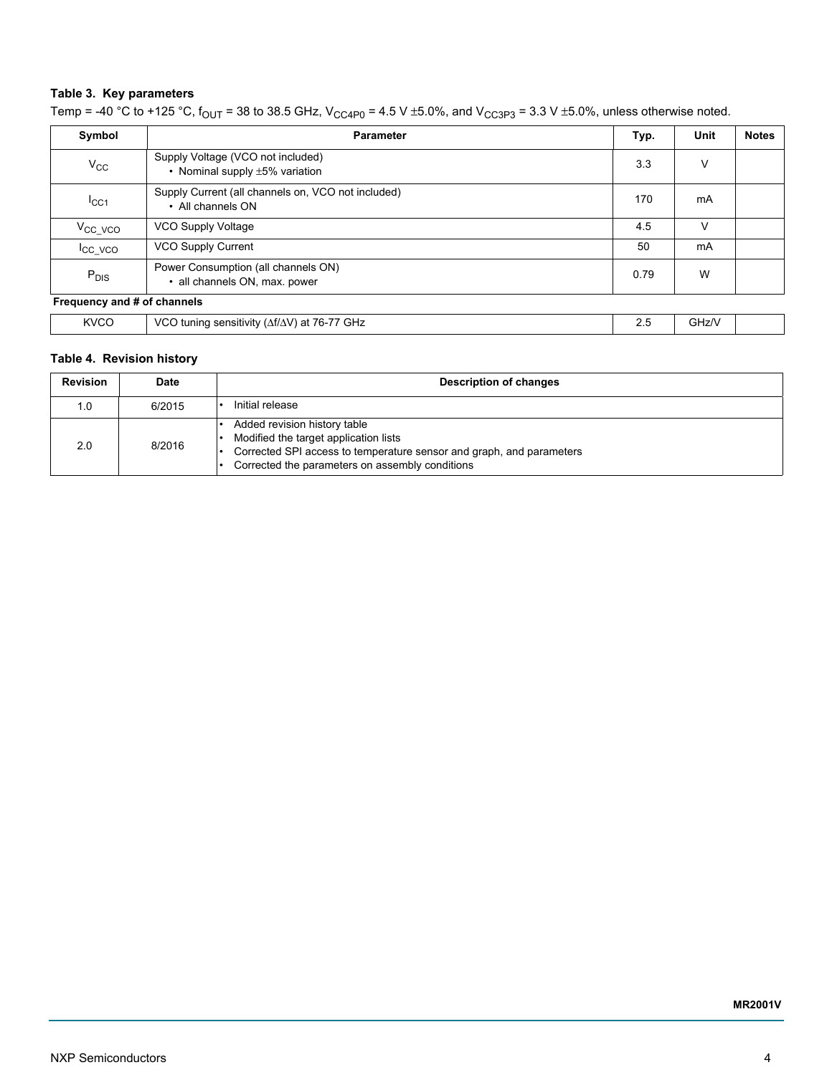## **Table 3. Key parameters**

| Symbol                      | <b>Parameter</b>                                                          |  | Unit  | <b>Notes</b> |
|-----------------------------|---------------------------------------------------------------------------|--|-------|--------------|
| $V_{\rm CC}$                | Supply Voltage (VCO not included)<br>• Nominal supply $\pm 5\%$ variation |  | V     |              |
| $I_{\rm CC1}$               | Supply Current (all channels on, VCO not included)<br>• All channels ON   |  | mA    |              |
| $V_{CC_VCO}$                | VCO Supply Voltage                                                        |  | ν     |              |
| <b>ICC VCO</b>              | <b>VCO Supply Current</b>                                                 |  | mA    |              |
| $P_{DIS}$                   | Power Consumption (all channels ON)<br>• all channels ON, max. power      |  | W     |              |
| Frequency and # of channels |                                                                           |  |       |              |
| <b>KVCO</b>                 | VCO tuning sensitivity ( $\Delta f/\Delta V$ ) at 76-77 GHz               |  | GHz/V |              |

Temp = -40 °C to +125 °C,  $f_{OUT}$  = 38 to 38.5 GHz,  $V_{CC4P0}$  = 4.5 V ±5.0%, and  $V_{CC3P3}$  = 3.3 V ±5.0%, unless otherwise noted.

# **Table 4. Revision history**

| <b>Revision</b> | Date   | <b>Description of changes</b>                                                                                                                                                                    |  |
|-----------------|--------|--------------------------------------------------------------------------------------------------------------------------------------------------------------------------------------------------|--|
| 1.0             | 6/2015 | Initial release                                                                                                                                                                                  |  |
| 2.0             | 8/2016 | Added revision history table<br>Modified the target application lists<br>Corrected SPI access to temperature sensor and graph, and parameters<br>Corrected the parameters on assembly conditions |  |